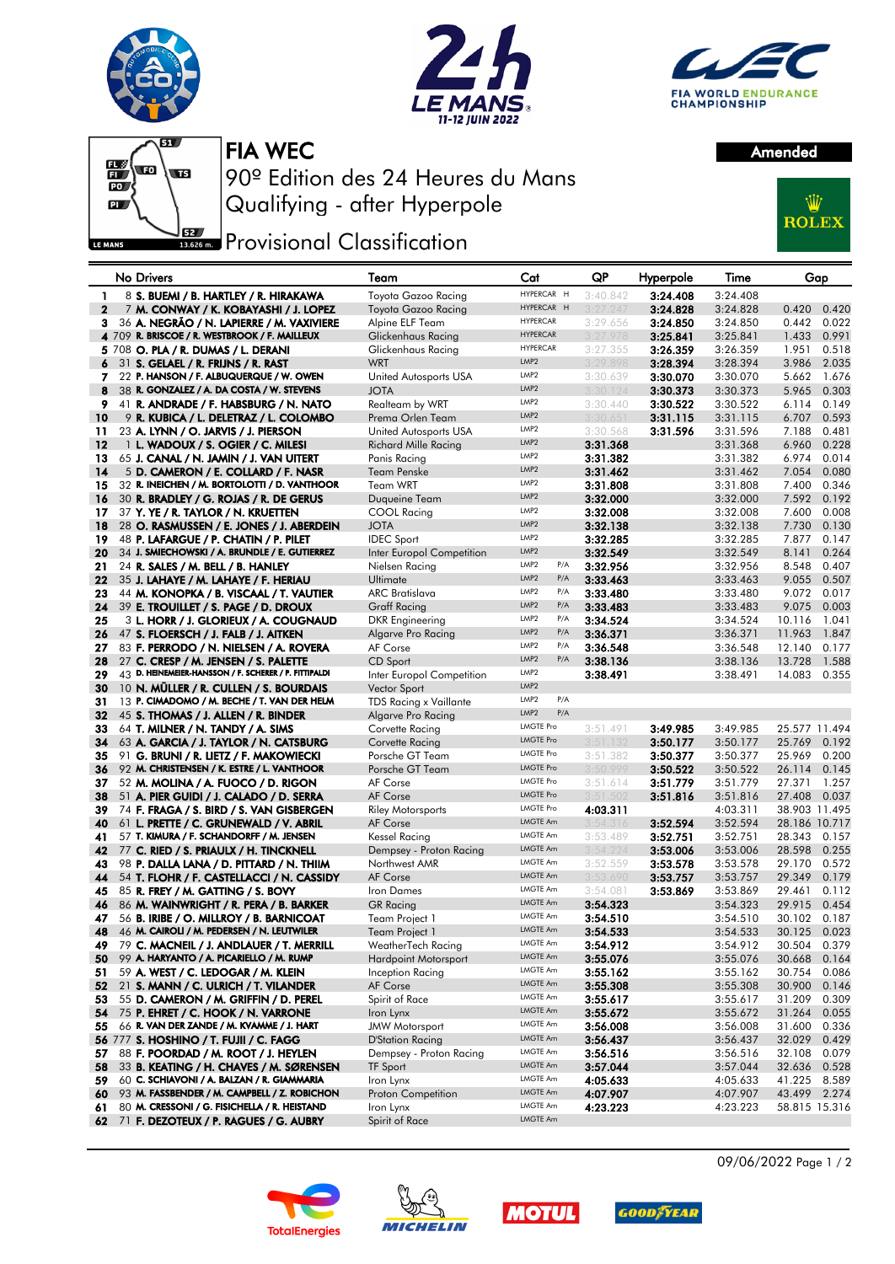





FIA WEC Amended

## W **ROLEX**



90º Edition des 24 Heures du Mans Qualifying - after Hyperpole **Provisional Classification** 



|    |    | בושעווע טאו                                           |
|----|----|-------------------------------------------------------|
| 1  |    | 8 S. BUEMI / B. HARTLEY / R. HIRAKAWA                 |
| 2  |    | 7 M. CONWAY / K. KOBAYASHI / J. LOPEZ                 |
| 3  |    | 36 A. NEGRÃO / N. LAPIERRE / M. VAXIVIERE             |
| 4  |    | 709 R. BRISCOE / R. WESTBROOK / F. MAILLEUX           |
| 5  |    | 708 O. PLA / R. DUMAS / L. DERANI                     |
| 6  |    | 31 S. GELAEL / R. FRIJNS / R. RAST                    |
| 7  |    | 22 P. HANSON / F. ALBUQUERQUE / W. OWEN               |
|    |    | 38 R. GONZALEZ / A. DA COSTA / W. STEVENS             |
| 8  |    |                                                       |
| 9  | 41 | R. ANDRADE / F. HABSBURG / N. NATO                    |
| 10 |    | 9 R. KUBICA / L. DELETRAZ / L. COLOMBO                |
| 11 |    | 23 A. LYNN / O. JARVIS / J. PIERSON                   |
| 12 |    | 1 L. WADOUX / S. OGIER / C. MILESI                    |
| 13 |    | 65 J. CANAL / N. JAMIN / J. VAN UITERT                |
| 14 |    | 5 D. CAMERON / E. COLLARD / F. NASR                   |
| 15 |    | 32 R. INEICHEN / M. BORTOLOTTI / D. VANTHOOR          |
| 16 |    | 30 R. BRADLEY / G. ROJAS / R. DE GERUS                |
| 17 |    | 37 Y. YE / R. TAYLOR / N. KRUETTEN                    |
| 18 |    | 28 O. RASMUSSEN / E. JONES / J. ABERDEIN              |
| 19 |    | 48 P. LAFARGUE / P. CHATIN / P. PILET                 |
|    |    |                                                       |
| 20 |    | 34 J. SMIECHOWSKI / A. BRUNDLE / E. GUTIERREZ         |
| 21 |    | 24 R. SALES / M. BELL / B. HANLEY                     |
| 22 |    | 35 <b>J. LAHAYE / M. LAHAYE / F. HERIAU</b>           |
| 23 |    | 44 M. KONOPKA / B. VISCAAL / T. VAUTIER               |
| 24 |    | 39 <b>E. Trouillet / S. Page / D. Droux</b>           |
| 25 |    | 3 L. HORR / J. GLORIEUX / A. COUGNAUD                 |
| 26 |    | 47 S. FLOERSCH / J. FALB / J. AITKEN                  |
| 27 |    | 83 F. PERRODO / N. NIELSEN / A. ROVERA                |
| 28 |    | 27 C. CRESP / M. JENSEN / S. PALETTE                  |
| 29 |    | 43 D. HEINEMEIER-HANSSON / F. SCHERER / P. FITTIPALDI |
| 30 |    | 10 <b>N. MÜLLER / R. CULLEN / S. BOURDAIS</b>         |
| 31 |    | 13 P. CIMADOMO / M. BECHE / T. VAN DER HELM           |
|    |    | 45 S. THOMAS / J. ALLEN / R. BINDER                   |
| 32 |    |                                                       |
| 33 |    | 64 T. MILNER / N. TANDY / A. SIMS                     |
| 34 |    | 63 A. GARCIA / J. TAYLOR / N. CATSBURG                |
| 35 |    | 91 G. BRUNI / R. LIETZ / F. MAKOWIECKI                |
| 36 |    | 92 M. CHRISTENSEN / K. ESTRE / L. VANTHOOR            |
| 37 |    | 52 M. MOLINA / A. FUOCO / D. RIGON                    |
| 38 |    | 51 A. PIER GUIDI / J. CALADO / D. SERRA               |
| 39 |    | 74 F. FRAGA / S. BIRD / S. VAN GISBERGEN              |
| 40 |    | 61 L. PRETTE / C. GRUNEWALD / V. ABRIL                |
| 41 |    | 57 T. KIMURA / F. SCHANDORFF / M. JENSEN              |
| 42 |    | 77 C. RIED / S. PRIAULX / H. TINCKNELL                |
| 43 |    | 98 P. DALLA LANA / D. PITTARD / N. THIIM              |
| 44 |    | 54 T. FLOHR / F. CASTELLACCI / N. CASSIDY             |
| 45 |    | 85 R. FREY / M. GATTING / S. BOVY                     |
| 46 |    | 86 M. WAINWRIGHT / R. PERA / B. BARKER                |
| 47 |    | 56 B. IRIBE / O. MILLROY / B. BARNICOAT               |
| 48 |    | 46 M. CAIROLI / M. PEDERSEN / N. LEUTWILER            |
| 49 |    | 79 C. MACNEIL / J. ANDLAUER / T. MERRILL              |
|    |    | 99 A. HARYANTO / A. PICARIELLO / M. RUMP              |
| 50 |    |                                                       |
| 51 |    | 59 A. WEST / C. LEDOGAR / M. KLEIN                    |
| 52 |    | 21 S. MANN / C. ULRICH / T. VILANDER                  |
| 53 |    | 55 D. CAMERON / M. GRIFFIN / D. PEREL                 |
| 54 |    | 75 P. EHRET / C. HOOK / N. VARRONE                    |
| 55 |    | 66 R. VAN DER ZANDE / M. KVAMME / J. HART             |
| 56 |    | 777 S. HOSHINO / T. FUJII / C. FAGG                   |
| 57 |    | 88 F. POORDAD / M. ROOT / J. HEYLEN                   |
| 58 |    | 33 B. KEATING / H. CHAVES / M. SØRENSEN               |
| 59 |    | 60 C. SCHIAVONI / A. BALZAN / R. GIAMMARIA            |
| 60 |    | 93 M. FASSBENDER / M. CAMPBELL / Z. ROBICHON          |
| 61 |    | 80 M. CRESSONI / G. FISICHELLA / R. HEISTAND          |
| 62 |    | 71 F. DEZOTEUX / P. RAGUES / G. AUBRY                 |
|    |    |                                                       |











09/06/2022 Page 1 / 2